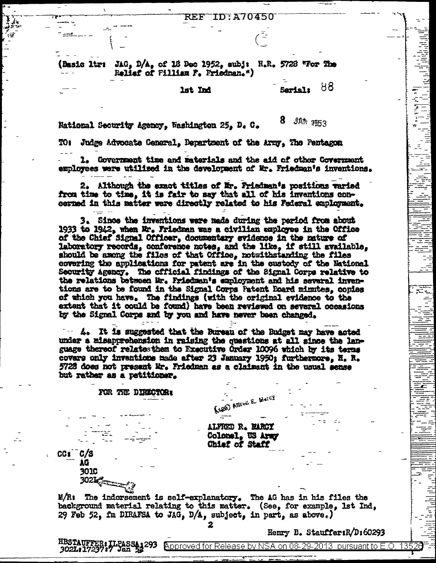**TD: A70450** REF

(Basic ltr: JAG, D/A, of 18 Dec 1952, subj: H.R. 5728 "For The Reliaf of Fillian F. Friedman.")

lst Ind

88 **Sariali** 

Ģ

en<br>Kirk

8. JAN RESS National Security Agency. Washington 25. D. C.

TO: Judge Advocate General. Department of the Army. The Pentagon

1. Government time and materials and the aid of other Government employees were utilized in the development of Mr. Friedman's inventions.

2. Although the exact titles of Mr. Priedman's positions varied from time to time, it is fair to say that all of his inventions concerned in this matter were directly related to his Federal employment.

3. Since the inventions were made during the period from about 1933 to 1942, when Mr. Friedman was a civilian employee in the Office of the Chief Signal Officer, documentary svidence in the nature of laboratory records, conference notes, and the like, if still available, should be among the files of that Office, notwithstanding the files covering the applications for patent are in the custody of the Eational Security Agency. The official findings of the Signal Corps relative to the relations between Mr. Friedman's employment and his several inventions are to be found in the Signal Corps Patent Board minutes, copies of which you have. The findings (with the original evidence to the extent that it could be found) have been reviewed on several occasions by the Signal Corps and by you and have never been changed.

 $-$  4. It is suggested that the Bureau of the Budget may have acted under a misapprohension in raising the questions at all since the language thereof relates them to Executive Order 10096 which by its terms covers only inventions made after 23 January 1950; furthermore, H. R. 5728 does not present Mr. Friedman as a claimant in the usual sense but rather as a petitioner.

## FOR THE DIRECTOR:

ALFRED R. MARCY Colomal, US Army Chief of Staff

(SEEE) Affred E. Mercy

 $CGI^CC/S$ AG **3010** 

 $3021$ 

M/R: The indorsement is self-explanatory. The AG has in his files the background material relating to this matter. (See, for example, 1st Ind, 29 Feb 52, fm DIRAFSA to JAG, D/A, subject, in part, as above.)

Henry B. StauffersR/D:60293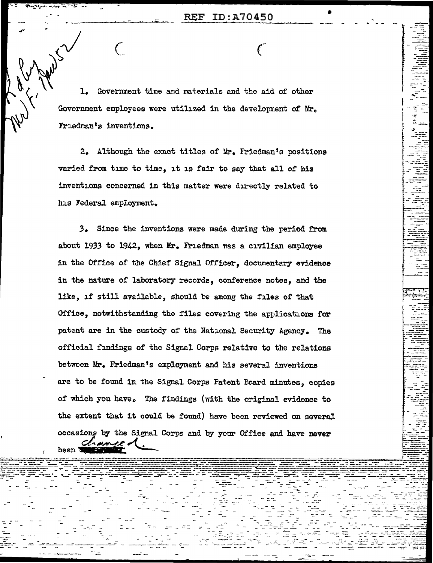$\epsilon$ 

 $\mathbf{L}$ Government time and materials and the aid of other Government employees were utilized in the development of Mr. Friedman's inventions.

 $\left( \right)$ 

2. Although the exact titles of Mr. Friedman's positions varied from time to time, it is fair to say that all of his inventions concerned in this matter were directly related to his Federal employment.

3. Since the inventions were made during the period from about 1933 to 1942, when Mr. Friedman was a civilian employee in the Office of the Chief Signal Officer, documentary evidence in the nature of laboratory records, conference notes, and the like, if still available, should be among the files of that Office, notwithstanding the files covering the applications for patent are in the custody of the National Security Agency. The official findings of the Signal Corps relative to the relations between Mr. Friedman's employment and his several inventions are to be found in the Signal Corps Patent Board minutes, copies of which you have. The findings (with the original evidence to the extent that it could be found) have been reviewed on several occasions by the Signal Corps and by your Office and have never been d